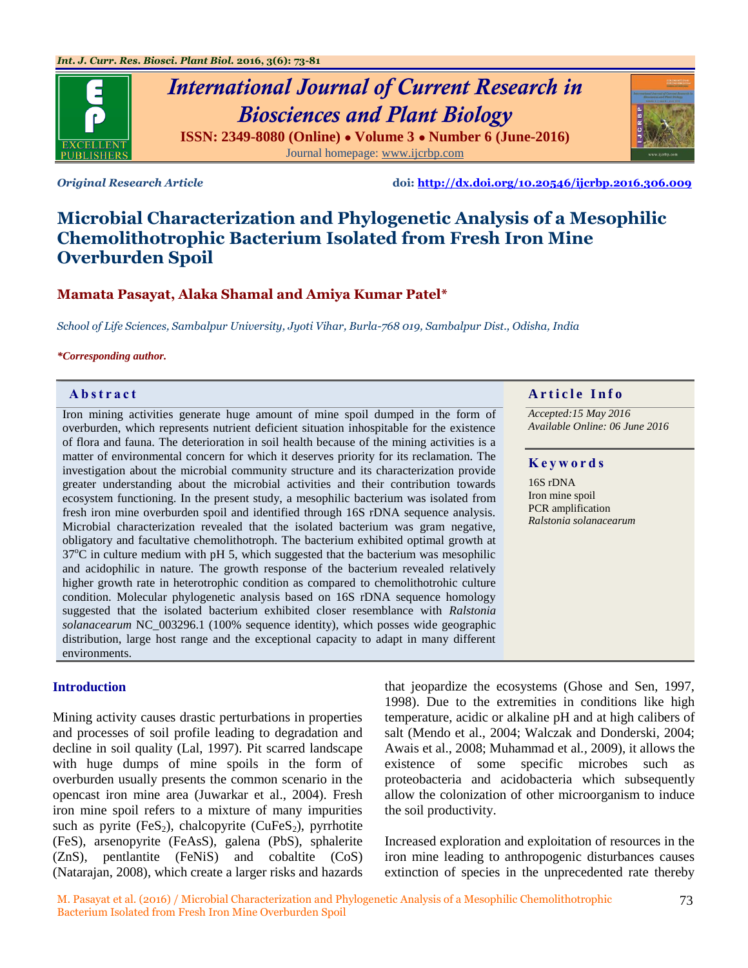

# *International Journal of Current Research in Biosciences and Plant Biology* **ISSN: 2349-8080 (Online) ● Volume 3 ● Number 6 (June-2016)** Journal homepage: [www.ijcrbp.com](http://www.ijcrbp.com/)

*Original Research Article* **doi:<http://dx.doi.org/10.20546/ijcrbp.2016.306.009>**

# **Microbial Characterization and Phylogenetic Analysis of a Mesophilic Chemolithotrophic Bacterium Isolated from Fresh Iron Mine Overburden Spoil**

### **Mamata Pasayat, Alaka Shamal and Amiya Kumar Patel\***

*School of Life Sciences, Sambalpur University, Jyoti Vihar, Burla-768 019, Sambalpur Dist., Odisha, India*

#### *\*Corresponding author.*

Iron mining activities generate huge amount of mine spoil dumped in the form of overburden, which represents nutrient deficient situation inhospitable for the existence of flora and fauna. The deterioration in soil health because of the mining activities is a matter of environmental concern for which it deserves priority for its reclamation. The investigation about the microbial community structure and its characterization provide greater understanding about the microbial activities and their contribution towards ecosystem functioning. In the present study, a mesophilic bacterium was isolated from fresh iron mine overburden spoil and identified through 16S rDNA sequence analysis. Microbial characterization revealed that the isolated bacterium was gram negative, obligatory and facultative chemolithotroph. The bacterium exhibited optimal growth at  $37^{\circ}$ C in culture medium with pH 5, which suggested that the bacterium was mesophilic and acidophilic in nature. The growth response of the bacterium revealed relatively higher growth rate in heterotrophic condition as compared to chemolithotrohic culture condition. Molecular phylogenetic analysis based on 16S rDNA sequence homology suggested that the isolated bacterium exhibited closer resemblance with *Ralstonia solanacearum* NC\_003296.1 (100% sequence identity), which posses wide geographic distribution, large host range and the exceptional capacity to adapt in many different environments.

#### **Introduction**

Mining activity causes drastic perturbations in properties and processes of soil profile leading to degradation and decline in soil quality (Lal, 1997). Pit scarred landscape with huge dumps of mine spoils in the form of overburden usually presents the common scenario in the opencast iron mine area (Juwarkar et al., 2004). Fresh iron mine spoil refers to a mixture of many impurities such as pyrite  $(FeS_2)$ , chalcopyrite (CuFeS<sub>2</sub>), pyrrhotite (FeS), arsenopyrite (FeAsS), galena (PbS), sphalerite (ZnS), pentlantite (FeNiS) and cobaltite (CoS) (Natarajan, 2008), which create a larger risks and hazards

# **Abstract A A** r ticle Info

*Accepted:15 May 2016 Available Online: 06 June 2016*

#### **K e y w o r d s**

16S rDNA Iron mine spoil PCR amplification *Ralstonia solanacearum*

that jeopardize the ecosystems (Ghose and Sen, 1997, 1998). Due to the extremities in conditions like high temperature, acidic or alkaline pH and at high calibers of salt (Mendo et al., 2004; Walczak and Donderski, 2004; Awais et al., 2008; Muhammad et al*.,* 2009), it allows the existence of some specific microbes such as proteobacteria and acidobacteria which subsequently allow the colonization of other microorganism to induce the soil productivity.

Increased exploration and exploitation of resources in the iron mine leading to anthropogenic disturbances causes extinction of species in the unprecedented rate thereby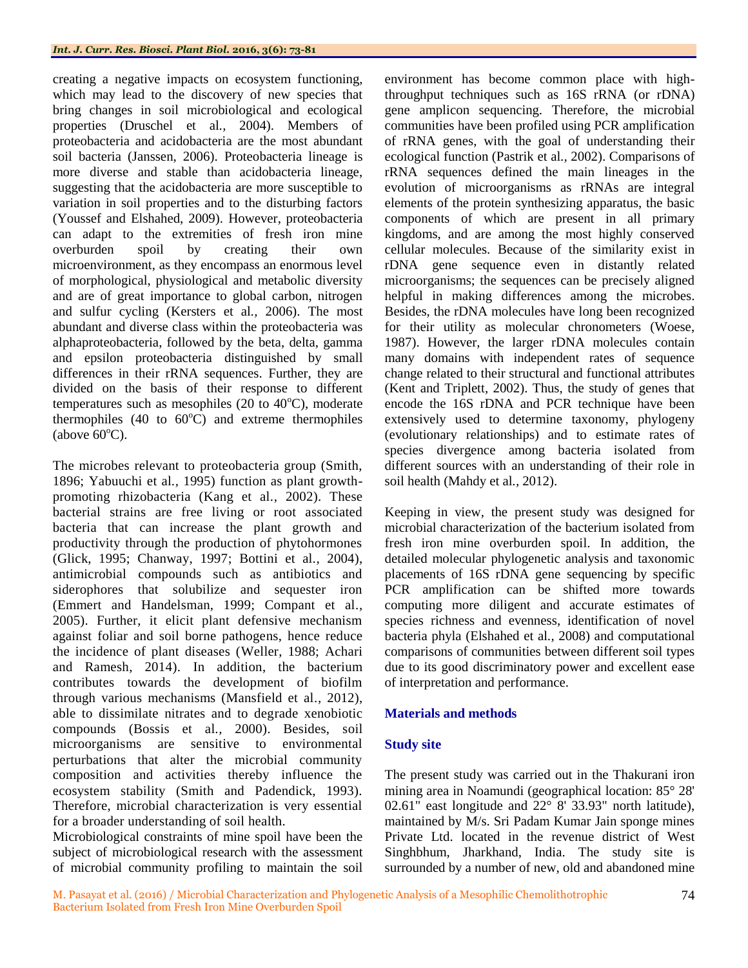creating a negative impacts on ecosystem functioning, which may lead to the discovery of new species that bring changes in soil microbiological and ecological properties (Druschel et al*.,* 2004). Members of proteobacteria and acidobacteria are the most abundant soil bacteria (Janssen, 2006). Proteobacteria lineage is more diverse and stable than acidobacteria lineage, suggesting that the acidobacteria are more susceptible to variation in soil properties and to the disturbing factors (Youssef and Elshahed, 2009). However, proteobacteria can adapt to the extremities of fresh iron mine overburden spoil by creating their own microenvironment, as they encompass an enormous level of morphological, physiological and metabolic diversity and are of great importance to global carbon, nitrogen and sulfur cycling (Kersters et al*.,* 2006). The most abundant and diverse class within the proteobacteria was alphaproteobacteria, followed by the beta, delta, gamma and epsilon proteobacteria distinguished by small differences in their rRNA sequences. Further, they are divided on the basis of their response to different temperatures such as mesophiles (20 to  $40^{\circ}$ C), moderate thermophiles (40 to  $60^{\circ}$ C) and extreme thermophiles (above  $60^{\circ}$ C).

The microbes relevant to proteobacteria group (Smith, 1896; Yabuuchi et al*.,* 1995) function as plant growthpromoting rhizobacteria (Kang et al*.,* 2002). These bacterial strains are free living or root associated bacteria that can increase the plant growth and productivity through the production of phytohormones (Glick, 1995; Chanway, 1997; Bottini et al*.,* 2004), antimicrobial compounds such as antibiotics and siderophores that solubilize and sequester iron (Emmert and Handelsman, 1999; Compant et al*.,* 2005). Further, it elicit plant defensive mechanism against foliar and soil borne pathogens, hence reduce the incidence of plant diseases (Weller, 1988; Achari and Ramesh, 2014). In addition, the bacterium contributes towards the development of biofilm through various mechanisms (Mansfield et al*.,* 2012), able to dissimilate nitrates and to degrade xenobiotic compounds (Bossis et al*.,* 2000). Besides, soil microorganisms are sensitive to environmental perturbations that alter the microbial community composition and activities thereby influence the ecosystem stability (Smith and Padendick, 1993). Therefore, microbial characterization is very essential for a broader understanding of soil health.

Microbiological constraints of mine spoil have been the subject of microbiological research with the assessment of microbial community profiling to maintain the soil environment has become common place with highthroughput techniques such as 16S rRNA (or rDNA) gene amplicon sequencing. Therefore, the microbial communities have been profiled using PCR amplification of rRNA genes, with the goal of understanding their ecological function (Pastrik et al*.,* 2002). Comparisons of rRNA sequences defined the main lineages in the evolution of microorganisms as rRNAs are integral elements of the protein synthesizing apparatus, the basic components of which are present in all primary kingdoms, and are among the most highly conserved cellular molecules. Because of the similarity exist in rDNA gene sequence even in distantly related microorganisms; the sequences can be precisely aligned helpful in making differences among the microbes. Besides, the rDNA molecules have long been recognized for their utility as molecular chronometers (Woese, 1987). However, the larger rDNA molecules contain many domains with independent rates of sequence change related to their structural and functional attributes (Kent and Triplett, 2002). Thus, the study of genes that encode the 16S rDNA and PCR technique have been extensively used to determine taxonomy, phylogeny (evolutionary relationships) and to estimate rates of species divergence among bacteria isolated from different sources with an understanding of their role in soil health (Mahdy et al*.,* 2012).

Keeping in view, the present study was designed for microbial characterization of the bacterium isolated from fresh iron mine overburden spoil. In addition, the detailed molecular phylogenetic analysis and taxonomic placements of 16S rDNA gene sequencing by specific PCR amplification can be shifted more towards computing more diligent and accurate estimates of species richness and evenness, identification of novel bacteria phyla (Elshahed et al*.,* 2008) and computational comparisons of communities between different soil types due to its good discriminatory power and excellent ease of interpretation and performance.

## **Materials and methods**

## **Study site**

The present study was carried out in the Thakurani iron mining area in Noamundi (geographical location: 85° 28' 02.61" east longitude and 22° 8' 33.93" north latitude), maintained by M/s. Sri Padam Kumar Jain sponge mines Private Ltd. located in the revenue district of West Singhbhum, Jharkhand, India. The study site is surrounded by a number of new, old and abandoned mine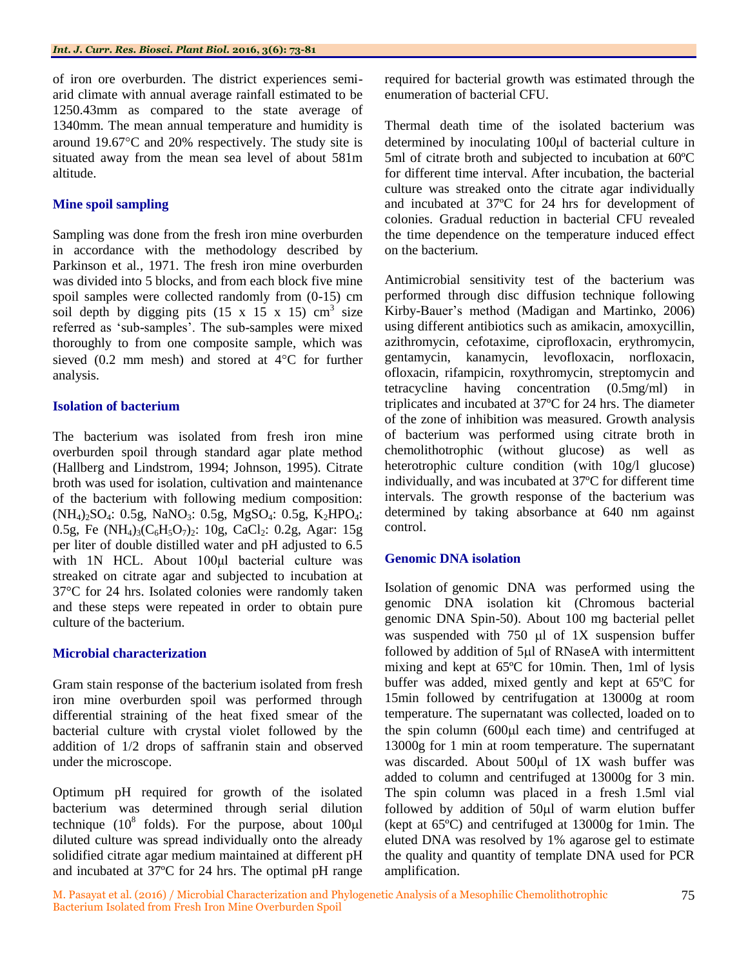of iron ore overburden. The district experiences semiarid climate with annual average rainfall estimated to be 1250.43mm as compared to the state average of 1340mm. The mean annual temperature and humidity is around  $19.67^{\circ}$ C and  $20\%$  respectively. The study site is situated away from the mean sea level of about 581m altitude.

#### **Mine spoil sampling**

Sampling was done from the fresh iron mine overburden in accordance with the methodology described by Parkinson et al*.,* 1971. The fresh iron mine overburden was divided into 5 blocks, and from each block five mine spoil samples were collected randomly from (0-15) cm soil depth by digging pits  $(15 \times 15 \times 15)$  cm<sup>3</sup> size referred as 'sub-samples'. The sub-samples were mixed thoroughly to from one composite sample, which was sieved  $(0.2 \text{ mm mesh})$  and stored at  $4^{\circ}\text{C}$  for further analysis.

#### **Isolation of bacterium**

The bacterium was isolated from fresh iron mine overburden spoil through standard agar plate method (Hallberg and Lindstrom, 1994; Johnson, 1995). Citrate broth was used for isolation, cultivation and maintenance of the bacterium with following medium composition:  $(NH_4)_{2}SO_4$ : 0.5g, NaNO<sub>3</sub>: 0.5g, MgSO<sub>4</sub>: 0.5g, K<sub>2</sub>HPO<sub>4</sub>: 0.5g, Fe  $(NH_4)_3(C_6H_5O_7)_2$ : 10g, CaCl<sub>2</sub>: 0.2g, Agar: 15g per liter of double distilled water and pH adjusted to 6.5 with 1N HCL. About 100µl bacterial culture was streaked on citrate agar and subjected to incubation at 37°C for 24 hrs. Isolated colonies were randomly taken and these steps were repeated in order to obtain pure culture of the bacterium.

#### **Microbial characterization**

Gram stain response of the bacterium isolated from fresh iron mine overburden spoil was performed through differential straining of the heat fixed smear of the bacterial culture with crystal violet followed by the addition of 1/2 drops of saffranin stain and observed under the microscope.

Optimum pH required for growth of the isolated bacterium was determined through serial dilution technique ( $10^8$  folds). For the purpose, about  $100 \mu l$ diluted culture was spread individually onto the already solidified citrate agar medium maintained at different pH and incubated at 37ºC for 24 hrs. The optimal pH range

required for bacterial growth was estimated through the enumeration of bacterial CFU.

Thermal death time of the isolated bacterium was determined by inoculating 100 $\mu$ l of bacterial culture in 5ml of citrate broth and subjected to incubation at 60ºC for different time interval. After incubation, the bacterial culture was streaked onto the citrate agar individually and incubated at 37ºC for 24 hrs for development of colonies. Gradual reduction in bacterial CFU revealed the time dependence on the temperature induced effect on the bacterium.

Antimicrobial sensitivity test of the bacterium was performed through disc diffusion technique following Kirby-Bauer's method (Madigan and Martinko, 2006) using different antibiotics such as amikacin, amoxycillin, azithromycin, cefotaxime, ciprofloxacin, erythromycin, gentamycin, kanamycin, levofloxacin, norfloxacin, ofloxacin, rifampicin, roxythromycin, streptomycin and tetracycline having concentration (0.5mg/ml) in triplicates and incubated at 37ºC for 24 hrs. The diameter of the zone of inhibition was measured. Growth analysis of bacterium was performed using citrate broth in chemolithotrophic (without glucose) as well as heterotrophic culture condition (with  $10g/l$  glucose) individually, and was incubated at 37ºC for different time intervals. The growth response of the bacterium was determined by taking absorbance at 640 nm against control.

### **Genomic DNA isolation**

Isolation of genomic DNA was performed using the genomic DNA isolation kit (Chromous bacterial genomic DNA Spin-50). About 100 mg bacterial pellet was suspended with 750  $\mu$ l of 1X suspension buffer followed by addition of 5µl of RNaseA with intermittent mixing and kept at 65ºC for 10min. Then, 1ml of lysis buffer was added, mixed gently and kept at 65ºC for 15min followed by centrifugation at 13000g at room temperature. The supernatant was collected, loaded on to the spin column  $(600\mu l)$  each time) and centrifuged at 13000g for 1 min at room temperature. The supernatant was discarded. About 500 $\mu$ l of 1X wash buffer was added to column and centrifuged at 13000g for 3 min. The spin column was placed in a fresh 1.5ml vial followed by addition of  $50\mu l$  of warm elution buffer (kept at 65ºC) and centrifuged at 13000g for 1min. The eluted DNA was resolved by 1% agarose gel to estimate the quality and quantity of template DNA used for PCR amplification.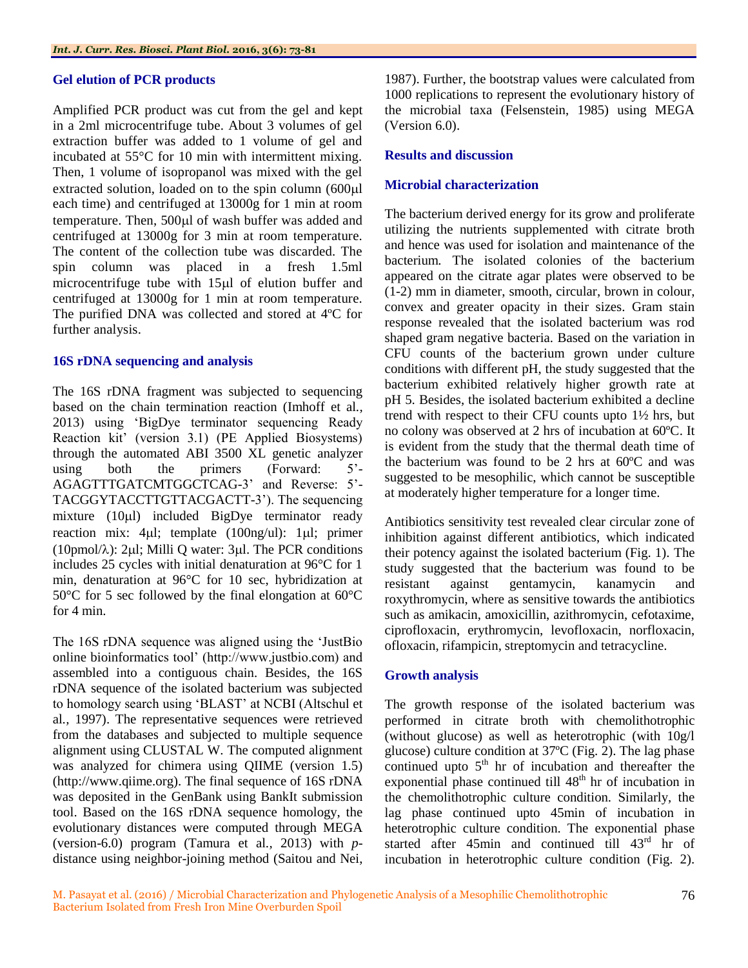#### **Gel elution of PCR products**

Amplified PCR product was cut from the gel and kept in a 2ml microcentrifuge tube. About 3 volumes of gel extraction buffer was added to 1 volume of gel and incubated at 55°C for 10 min with intermittent mixing. Then, 1 volume of isopropanol was mixed with the gel extracted solution, loaded on to the spin column  $(600\mu l)$ each time) and centrifuged at 13000g for 1 min at room temperature. Then, 500µl of wash buffer was added and centrifuged at 13000g for 3 min at room temperature. The content of the collection tube was discarded. The spin column was placed in a fresh 1.5ml microcentrifuge tube with  $15\mu l$  of elution buffer and centrifuged at 13000g for 1 min at room temperature. The purified DNA was collected and stored at 4ºC for further analysis.

#### **16S rDNA sequencing and analysis**

The 16S rDNA fragment was subjected to sequencing based on the chain termination reaction (Imhoff et al*.,* 2013) using 'BigDye terminator sequencing Ready Reaction kit' (version 3.1) (PE Applied Biosystems) through the automated ABI 3500 XL genetic analyzer using both the primers (Forward: 5'- AGAGTTTGATCMTGGCTCAG-3' and Reverse: 5'- TACGGYTACCTTGTTACGACTT-3'). The sequencing mixture (10µl) included BigDye terminator ready reaction mix: 4µl; template (100ng/ul): 1µl; primer (10pmol/ $\lambda$ ): 2µl; Milli Q water: 3µl. The PCR conditions includes 25 cycles with initial denaturation at 96°C for 1 min, denaturation at 96°C for 10 sec, hybridization at 50°C for 5 sec followed by the final elongation at 60°C for 4 min.

The 16S rDNA sequence was aligned using the 'JustBio online bioinformatics tool' (http://www.justbio.com) and assembled into a contiguous chain. Besides, the 16S rDNA sequence of the isolated bacterium was subjected to homology search using 'BLAST' at NCBI (Altschul et al*.,* 1997). The representative sequences were retrieved from the databases and subjected to multiple sequence alignment using CLUSTAL W. The computed alignment was analyzed for chimera using QIIME (version 1.5) (http://www.qiime.org). The final sequence of 16S rDNA was deposited in the GenBank using BankIt submission tool. Based on the 16S rDNA sequence homology, the evolutionary distances were computed through MEGA (version-6.0) program (Tamura et al*.,* 2013) with *p*distance using neighbor-joining method (Saitou and Nei,

1987). Further, the bootstrap values were calculated from 1000 replications to represent the evolutionary history of the microbial taxa (Felsenstein, 1985) using MEGA (Version 6.0).

#### **Results and discussion**

#### **Microbial characterization**

The bacterium derived energy for its grow and proliferate utilizing the nutrients supplemented with citrate broth and hence was used for isolation and maintenance of the bacterium*.* The isolated colonies of the bacterium appeared on the citrate agar plates were observed to be (1-2) mm in diameter, smooth, circular, brown in colour, convex and greater opacity in their sizes. Gram stain response revealed that the isolated bacterium was rod shaped gram negative bacteria. Based on the variation in CFU counts of the bacterium grown under culture conditions with different pH, the study suggested that the bacterium exhibited relatively higher growth rate at pH 5. Besides, the isolated bacterium exhibited a decline trend with respect to their CFU counts upto 1½ hrs, but no colony was observed at 2 hrs of incubation at 60ºC. It is evident from the study that the thermal death time of the bacterium was found to be 2 hrs at 60ºC and was suggested to be mesophilic, which cannot be susceptible at moderately higher temperature for a longer time.

Antibiotics sensitivity test revealed clear circular zone of inhibition against different antibiotics, which indicated their potency against the isolated bacterium (Fig. 1). The study suggested that the bacterium was found to be resistant against gentamycin, kanamycin and roxythromycin, where as sensitive towards the antibiotics such as amikacin, amoxicillin, azithromycin, cefotaxime, ciprofloxacin, erythromycin, levofloxacin, norfloxacin, ofloxacin, rifampicin, streptomycin and tetracycline.

#### **Growth analysis**

The growth response of the isolated bacterium was performed in citrate broth with chemolithotrophic (without glucose) as well as heterotrophic (with 10g/l glucose) culture condition at 37ºC (Fig. 2). The lag phase continued upto  $5<sup>th</sup>$  hr of incubation and thereafter the exponential phase continued till  $48<sup>th</sup>$  hr of incubation in the chemolithotrophic culture condition. Similarly, the lag phase continued upto 45min of incubation in heterotrophic culture condition. The exponential phase started after 45min and continued till  $43<sup>rd</sup>$  hr of incubation in heterotrophic culture condition (Fig. 2).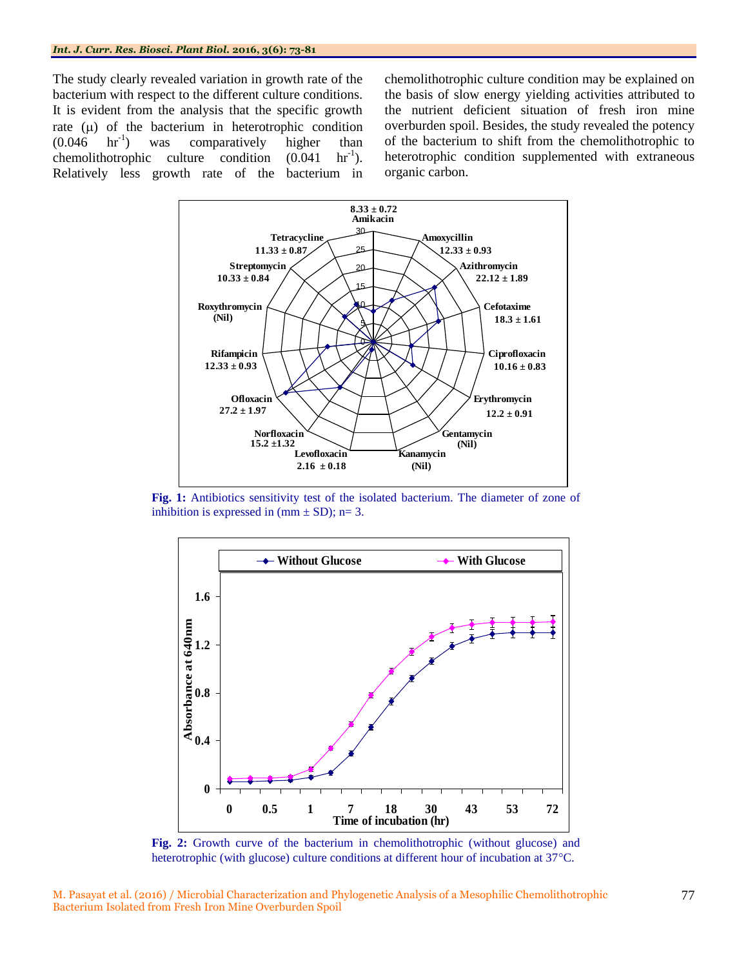The study clearly revealed variation in growth rate of the bacterium with respect to the different culture conditions. It is evident from the analysis that the specific growth rate  $(\mu)$  of the bacterium in heterotrophic condition  $(0.046 \text{ hr}^{-1})$ ) was comparatively higher than  $chemicalithotrophic$  culture condition  $(0.041$  $hr^{-1}$ ). Relatively less growth rate of the bacterium in

chemolithotrophic culture condition may be explained on the basis of slow energy yielding activities attributed to the nutrient deficient situation of fresh iron mine overburden spoil. Besides, the study revealed the potency of the bacterium to shift from the chemolithotrophic to heterotrophic condition supplemented with extraneous organic carbon.



Fig. 1: Antibiotics sensitivity test of the isolated bacterium. The diameter of zone of inhibition is expressed in  $(mm \pm SD)$ ; n= 3.



**Fig. 2:** Growth curve of the bacterium in chemolithotrophic (without glucose) and heterotrophic (with glucose) culture conditions at different hour of incubation at 37 °C.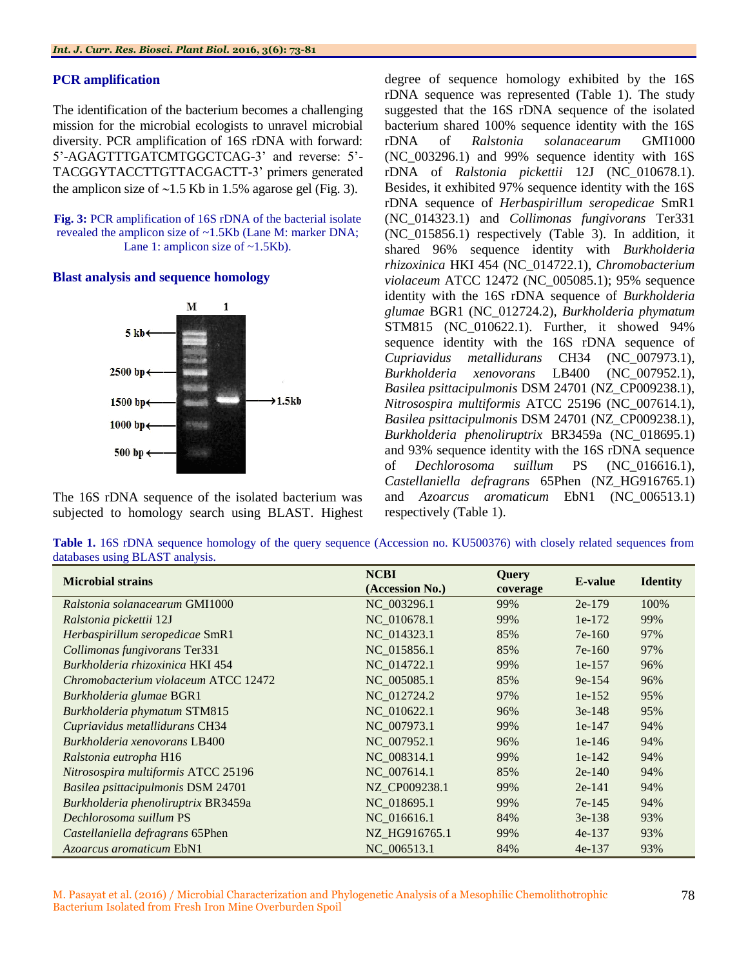#### **PCR amplification**

The identification of the bacterium becomes a challenging mission for the microbial ecologists to unravel microbial diversity. PCR amplification of 16S rDNA with forward: 5'-AGAGTTTGATCMTGGCTCAG-3' and reverse: 5'- TACGGYTACCTTGTTACGACTT-3' primers generated the amplicon size of  $\sim$ 1.5 Kb in 1.5% agarose gel (Fig. 3).

**Fig. 3:** PCR amplification of 16S rDNA of the bacterial isolate revealed the amplicon size of ~1.5Kb (Lane M: marker DNA; Lane 1: amplicon size of ~1.5Kb).

#### **Blast analysis and sequence homology**



The 16S rDNA sequence of the isolated bacterium was subjected to homology search using BLAST. Highest degree of sequence homology exhibited by the 16S rDNA sequence was represented (Table 1). The study suggested that the 16S rDNA sequence of the isolated bacterium shared 100% sequence identity with the 16S rDNA of *Ralstonia solanacearum* GMI1000 (NC\_003296.1) and 99% sequence identity with 16S rDNA of *Ralstonia pickettii* 12J (NC\_010678.1). Besides, it exhibited 97% sequence identity with the 16S rDNA sequence of *Herbaspirillum seropedicae* SmR1 (NC\_014323.1) and *Collimonas fungivorans* Ter331 (NC\_015856.1) respectively (Table 3). In addition, it shared 96% sequence identity with *Burkholderia rhizoxinica* HKI 454 (NC\_014722.1), *Chromobacterium violaceum* ATCC 12472 (NC\_005085.1); 95% sequence identity with the 16S rDNA sequence of *Burkholderia glumae* BGR1 (NC\_012724.2), *Burkholderia phymatum*  STM815 (NC\_010622.1). Further, it showed 94% sequence identity with the 16S rDNA sequence of *Cupriavidus metallidurans* CH34 (NC\_007973.1), *Burkholderia xenovorans* LB400 (NC\_007952.1), *Basilea psittacipulmonis* DSM 24701 (NZ\_CP009238.1), *Nitrosospira multiformis* ATCC 25196 (NC\_007614.1), *Basilea psittacipulmonis* DSM 24701 (NZ\_CP009238.1), *Burkholderia phenoliruptrix* BR3459a (NC\_018695.1) and 93% sequence identity with the 16S rDNA sequence of *Dechlorosoma suillum* PS (NC\_016616.1), *Castellaniella defragrans* 65Phen (NZ\_HG916765.1) and *Azoarcus aromaticum* EbN1 (NC\_006513.1) respectively (Table 1).

**Table 1.** 16S rDNA sequence homology of the query sequence (Accession no. KU500376) with closely related sequences from databases using BLAST analysis.

| <b>Microbial strains</b>             | <b>NCBI</b>     | <b>Query</b> | E-value  | <b>Identity</b> |
|--------------------------------------|-----------------|--------------|----------|-----------------|
|                                      | (Accession No.) | coverage     |          |                 |
| Ralstonia solanacearum GMI1000       | NC_003296.1     | 99%          | $2e-179$ | 100%            |
| Ralstonia pickettii 12J              | NC 010678.1     | 99%          | $1e-172$ | 99%             |
| Herbaspirillum seropedicae SmR1      | NC 014323.1     | 85%          | $7e-160$ | 97%             |
| Collimonas fungivorans Ter331        | NC 015856.1     | 85%          | $7e-160$ | 97%             |
| Burkholderia rhizoxinica HKI 454     | NC 014722.1     | 99%          | $1e-157$ | 96%             |
| Chromobacterium violaceum ATCC 12472 | NC 005085.1     | 85%          | $9e-154$ | 96%             |
| Burkholderia glumae BGR1             | NC 012724.2     | 97%          | $1e-152$ | 95%             |
| Burkholderia phymatum STM815         | NC_010622.1     | 96%          | $3e-148$ | 95%             |
| Cupriavidus metallidurans CH34       | NC 007973.1     | 99%          | $1e-147$ | 94%             |
| <i>Burkholderia xenovorans</i> LB400 | NC 007952.1     | 96%          | $1e-146$ | 94%             |
| Ralstonia eutropha H16               | NC 008314.1     | 99%          | $1e-142$ | 94%             |
| Nitrosospira multiformis ATCC 25196  | NC 007614.1     | 85%          | $2e-140$ | 94%             |
| Basilea psittacipulmonis DSM 24701   | NZ CP009238.1   | 99%          | $2e-141$ | 94%             |
| Burkholderia phenoliruptrix BR3459a  | NC 018695.1     | 99%          | $7e-145$ | 94%             |
| Dechlorosoma suillum PS              | NC 016616.1     | 84%          | $3e-138$ | 93%             |
| Castellaniella defragrans 65Phen     | NZ HG916765.1   | 99%          | $4e-137$ | 93%             |
| <i>Azoarcus aromaticum</i> EbN1      | NC 006513.1     | 84%          | $4e-137$ | 93%             |

M. Pasayat et al. (2016) / Microbial Characterization and Phylogenetic Analysis of a Mesophilic Chemolithotrophic Bacterium Isolated from Fresh Iron Mine Overburden Spoil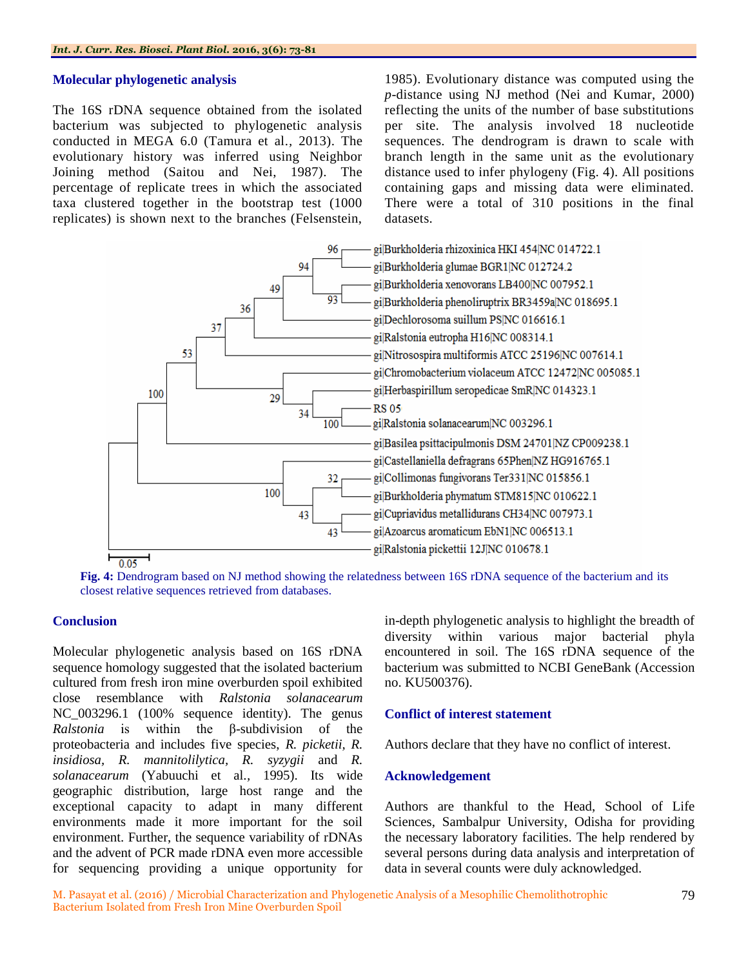#### **Molecular phylogenetic analysis**

The 16S rDNA sequence obtained from the isolated bacterium was subjected to phylogenetic analysis conducted in MEGA 6.0 (Tamura et al*.,* 2013). The evolutionary history was inferred using Neighbor Joining method (Saitou and Nei, 1987). The percentage of replicate trees in which the associated taxa clustered together in the bootstrap test (1000 replicates) is shown next to the branches (Felsenstein,

1985). Evolutionary distance was computed using the *p*-distance using NJ method (Nei and Kumar, 2000) reflecting the units of the number of base substitutions per site. The analysis involved 18 nucleotide sequences. The dendrogram is drawn to scale with branch length in the same unit as the evolutionary distance used to infer phylogeny (Fig. 4). All positions containing gaps and missing data were eliminated. There were a total of 310 positions in the final datasets.



**Fig. 4:** Dendrogram based on NJ method showing the relatedness between 16S rDNA sequence of the bacterium and its closest relative sequences retrieved from databases.

#### **Conclusion**

Molecular phylogenetic analysis based on 16S rDNA sequence homology suggested that the isolated bacterium cultured from fresh iron mine overburden spoil exhibited close resemblance with *Ralstonia solanacearum* NC 003296.1 (100% sequence identity). The genus *Ralstonia* is within the β-subdivision of the proteobacteria and includes five species, *R. picketii, R. insidiosa, R. mannitolilytica, R. syzygii* and *R. solanacearum* (Yabuuchi et al*.,* 1995). Its wide geographic distribution, large host range and the exceptional capacity to adapt in many different environments made it more important for the soil environment. Further, the sequence variability of rDNAs and the advent of PCR made rDNA even more accessible for sequencing providing a unique opportunity for in-depth phylogenetic analysis to highlight the breadth of diversity within various major bacterial phyla encountered in soil. The 16S rDNA sequence of the bacterium was submitted to NCBI GeneBank (Accession no. KU500376).

### **Conflict of interest statement**

Authors declare that they have no conflict of interest.

#### **Acknowledgement**

Authors are thankful to the Head, School of Life Sciences, Sambalpur University, Odisha for providing the necessary laboratory facilities. The help rendered by several persons during data analysis and interpretation of data in several counts were duly acknowledged.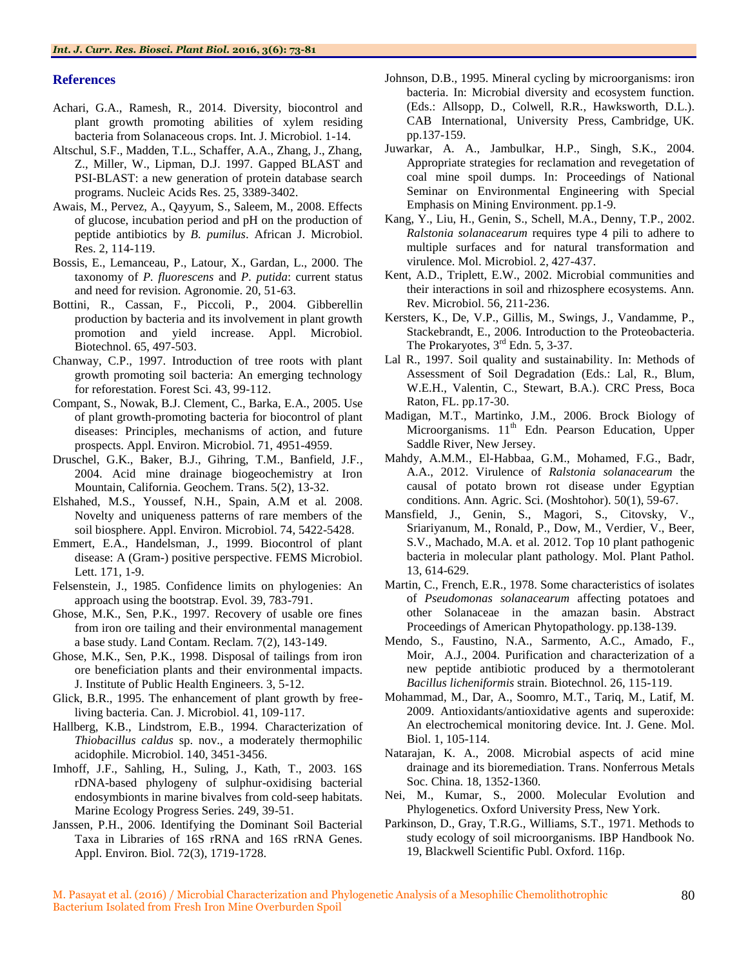#### **References**

- Achari, G.A., Ramesh, R., 2014. Diversity, biocontrol and plant growth promoting abilities of xylem residing bacteria from Solanaceous crops. Int. J. Microbiol. 1-14.
- Altschul, S.F., Madden, T.L., Schaffer, A.A., Zhang, J., Zhang, Z., Miller, W., Lipman, D.J. 1997. Gapped BLAST and PSI-BLAST: a new generation of protein database search programs. Nucleic Acids Res. 25, 3389-3402.
- Awais, M., Pervez, A., Qayyum, S., Saleem, M., 2008. Effects of glucose, incubation period and pH on the production of peptide antibiotics by *B. pumilus*. African J. Microbiol. Res. 2, 114-119.
- Bossis, E., Lemanceau, P., Latour, X., Gardan, L., 2000. The taxonomy of *P. fluorescens* and *P. putida*: current status and need for revision. Agronomie. 20, 51-63.
- Bottini, R., Cassan, F., Piccoli, P., 2004. Gibberellin production by bacteria and its involvement in plant growth promotion and yield increase. Appl. Microbiol. Biotechnol. 65, 497-503.
- Chanway, C.P., 1997. Introduction of tree roots with plant growth promoting soil bacteria: An emerging technology for reforestation. Forest Sci. 43, 99-112.
- Compant, S., Nowak, B.J. Clement, C., Barka, E.A., 2005. Use of plant growth-promoting bacteria for biocontrol of plant diseases: Principles, mechanisms of action, and future prospects. Appl. Environ. Microbiol. 71, 4951-4959.
- Druschel, G.K., Baker, B.J., Gihring, T.M., Banfield, J.F., 2004. Acid mine drainage biogeochemistry at Iron Mountain, California. Geochem. Trans. 5(2), 13-32.
- Elshahed, M.S., Youssef, N.H., Spain, A.M et al*.* 2008. Novelty and uniqueness patterns of rare members of the soil biosphere. Appl. Environ. Microbiol. 74, 5422-5428.
- Emmert, E.A., Handelsman, J., 1999. Biocontrol of plant disease: A (Gram-) positive perspective. FEMS Microbiol. Lett. 171, 1-9.
- Felsenstein, J., 1985. Confidence limits on phylogenies: An approach using the bootstrap. Evol. 39, 783-791.
- Ghose, M.K., Sen, P.K., 1997. Recovery of usable ore fines from iron ore tailing and their environmental management a base study. Land Contam. Reclam. 7(2), 143-149.
- Ghose, M.K., Sen, P.K., 1998. Disposal of tailings from iron ore beneficiation plants and their environmental impacts. J. Institute of Public Health Engineers. 3, 5-12.
- Glick, B.R., 1995. The enhancement of plant growth by freeliving bacteria. Can. J. Microbiol. 41, 109-117.
- Hallberg, K.B., Lindstrom, E.B., 1994. Characterization of *Thiobacillus caldus* sp. nov., a moderately thermophilic acidophile. Microbiol. 140, 3451-3456.
- Imhoff, J.F., Sahling, H., Suling, J., Kath, T., 2003. 16S rDNA-based phylogeny of sulphur-oxidising bacterial endosymbionts in marine bivalves from cold-seep habitats. Marine Ecology Progress Series. 249, 39-51.
- Janssen, P.H., 2006. Identifying the Dominant Soil Bacterial Taxa in Libraries of 16S rRNA and 16S rRNA Genes. Appl. Environ. Biol. 72(3), 1719-1728.
- Johnson, D.B., 1995. Mineral cycling by microorganisms: iron bacteria. In: Microbial diversity and ecosystem function. (Eds.: Allsopp, D., Colwell, R.R., Hawksworth, D.L.). CAB International, University Press, Cambridge, UK. pp.137-159.
- Juwarkar, A. A., Jambulkar, H.P., Singh, S.K., 2004. Appropriate strategies for reclamation and revegetation of coal mine spoil dumps. In: Proceedings of National Seminar on Environmental Engineering with Special Emphasis on Mining Environment. pp.1-9.
- Kang, Y., Liu, H., Genin, S., Schell, M.A., Denny, T.P., 2002. *Ralstonia solanacearum* requires type 4 pili to adhere to multiple surfaces and for natural transformation and virulence. Mol. Microbiol. 2, 427-437.
- Kent, A.D., Triplett, E.W., 2002. Microbial communities and their interactions in soil and rhizosphere ecosystems. Ann. Rev. Microbiol. 56, 211-236.
- Kersters, K., De, V.P., Gillis, M., Swings, J., Vandamme, P., Stackebrandt, E., 2006. Introduction to the Proteobacteria. The Prokaryotes,  $3<sup>rd</sup>$  Edn. 5, 3-37.
- Lal R., 1997. Soil quality and sustainability. In: Methods of Assessment of Soil Degradation (Eds.: Lal, R., Blum, W.E.H., Valentin, C., Stewart, B.A.). CRC Press, Boca Raton, FL. pp.17-30.
- Madigan, M.T., Martinko, J.M., 2006. Brock Biology of Microorganisms. 11<sup>th</sup> Edn. Pearson Education, Upper Saddle River, New Jersey.
- Mahdy, A.M.M., El-Habbaa, G.M., Mohamed, F.G., Badr, A.A., 2012. Virulence of *Ralstonia solanacearum* the causal of potato brown rot disease under Egyptian conditions. Ann. Agric. Sci. (Moshtohor). 50(1), 59-67.
- Mansfield, J., Genin, S., Magori, S., Citovsky, V., Sriariyanum, M., Ronald, P., Dow, M., Verdier, V., Beer, S.V., Machado, M.A. et al*.* 2012. Top 10 plant pathogenic bacteria in molecular plant pathology. Mol. Plant Pathol. 13, 614-629.
- Martin, C., French, E.R., 1978. Some characteristics of isolates of *Pseudomonas solanacearum* affecting potatoes and other Solanaceae in the amazan basin. Abstract Proceedings of American Phytopathology. pp.138-139.
- Mendo, S., Faustino, N.A., Sarmento, A.C., Amado, F., Moir, A.J., 2004. Purification and characterization of a new peptide antibiotic produced by a thermotolerant *Bacillus licheniformis* strain. Biotechnol. 26, 115-119.
- Mohammad, M., Dar, A., Soomro, M.T., Tariq, M., Latif, M. 2009. Antioxidants/antioxidative agents and superoxide: An electrochemical monitoring device. Int. J. Gene. Mol. Biol. 1, 105-114.
- Natarajan, K. A., 2008. Microbial aspects of acid mine drainage and its bioremediation. Trans. Nonferrous Metals Soc. China. 18, 1352-1360.
- Nei, M., Kumar, S., 2000. Molecular Evolution and Phylogenetics. Oxford University Press, New York.
- Parkinson, D., Gray, T.R.G., Williams, S.T., 1971. Methods to study ecology of soil microorganisms. IBP Handbook No. 19, Blackwell Scientific Publ. Oxford. 116p.